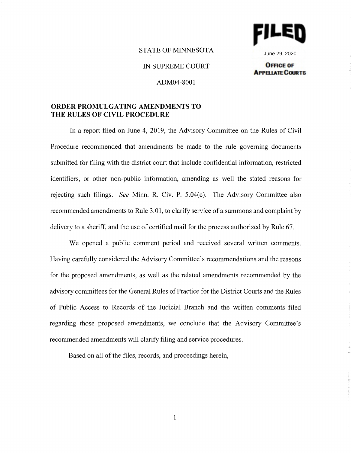

June 29, 2020**OFFICE OF** 

**APPELIATE COURTS** 

# STATE OF MINNESOTA

IN SUPREME COURT

ADM04-8001

# **ORDER PROMULGATING AMENDMENTS TO THE RULES OF CIVIL PROCEDURE**

In a report filed on June 4, 2019, the Advisory Committee on the Rules of Civil Procedure recommended that amendments be made to the rule governing documents submitted for filing with the district court that include confidential information, restricted identifiers, or other non-public information, amending as well the stated reasons for rejecting such filings. *See* Minn. R. Civ. P. 5.04(c). The Advisory Committee also recommended amendments to Rule 3.01, to clarify service of a summons and complaint by delivery to a sheriff, and the use of certified mail for the process authorized by Rule 67.

We opened a public comment period and received several written comments. Having carefully considered the Advisory Committee's recommendations and the reasons for the proposed amendments, as well as the related amendments recommended by the advisory committees for the General Rules of Practice for the District Courts and the Rules of Public Access to Records of the Judicial Branch and the written comments filed regarding those proposed amendments, we conclude that the Advisory Committee's recommended amendments will clarify filing and service procedures.

Based on all of the files, records, and proceedings herein,

1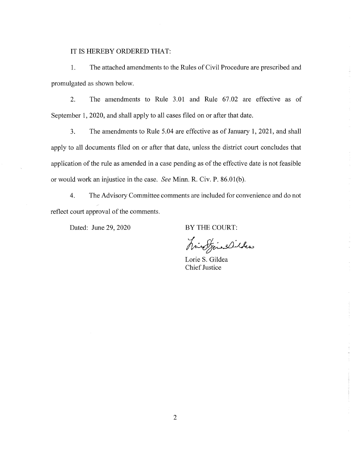## IT IS HEREBY ORDERED THAT:

1. The attached amendments to the Rules of Civil Procedure are prescribed and promulgated as shown below.

2. The amendments to Rule 3.01 and Rule 67.02 are effective as of September 1, 2020, and shall apply to all cases filed on or after that date.

3. The amendments to Rule 5.04 are effective as of January 1, 2021, and shall apply to all documents filed on or after that date, unless the district court concludes that application of the rule as amended in a case pending as of the effective date is not feasible or would work an injustice in the case. *See* Minn. **R.** Civ. **P.** 86.0l(b).

4. The Advisory Committee comments are included for convenience and do not reflect court approval of the comments.

Dated: June 29, 2020

BY THE COURT:

hinofine Dibles

Lorie S. Gildea Chief Justice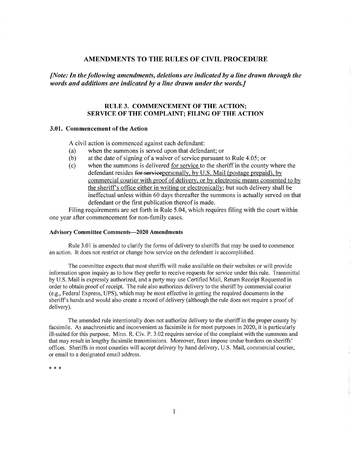### **AMENDMENTS TO THE RULES OF CIVIL PROCEDURE**

*[Note: In the following amendments, deletions are indicated by a line drawn through the words and additions are indicated by a line drawn under the words.]* 

### **RULE 3. COMMENCEMENT OF THE ACTION; SERVICE OF THE COMPLAINT; FILING OF THE ACTION**

#### **3.01. Commencement of the Action**

A civil action is commenced against each defendant:

- (a) when the summons is served upon that defendant; or
- (b) at the date of signing of a waiver of service pursuant to Rule 4.05; or
- ( c) when the summons is delivered for service to the sheriff in the county where the defendant resides for servicepersonally, by U.S. Mail (postage prepaid), by commercial courier with proof of delivery, or by electronic means consented to by the sheriff's office either in writing or electronically: but such delivery shall be ineffectual unless within 60 days thereafter the summons is actually served on that defendant or the first publication thereof is made.

Filing requirements are set forth in Rule 5.04, which requires filing with the court within one year after commencement for non-family cases.

#### **Advisory Committee Comments-2020 Amendments**

Rule 3.01 is amended to clarify the forms of delivery to sheriffs that may be used to commence an action. It does not restrict or change how service on the defendant is accomplished.

The committee expects that most sheriffs will make available on their websites or will provide information upon inquiry as to how they prefer to receive requests for service under this rule. Transmittal by U.S. Mail is expressly authorized, and a party may use Certified Mail, Return Receipt Requested in order to obtain proof of receipt. The rule also authorizes delivery to the sheriff by commercial courier ( e.g., Federal Express, UPS), which may be most effective in getting the required documents in the sheriff's hands and would also create a record of delivery (although the rule does not require a proof of delivery).

The amended rule intentionally does not authorize delivery to the sheriff in the proper county by facsimile. As anachronistic and inconvenient as facsimile is for most purposes in 2020, it is particularly ill-suited for this purpose. Minn. R. Civ. P. 3.02 requires service of the complaint with the summons and that may result in lengthy facsimile transmissions. Moreover, faxes impose undue burdens on sheriffs' offices. Sheriffs in most counties will accept delivery by hand delivery, U.S. Mail, commercial courier, or email to a designated email address.

\* \* \*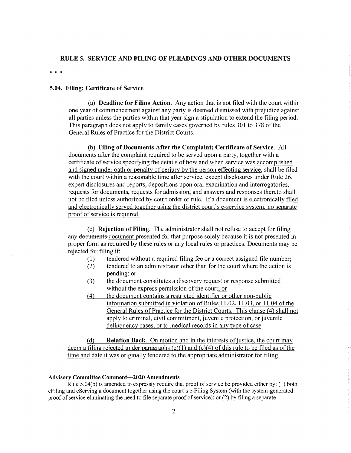#### **RULE 5. SERVICE AND FILING OF PLEADINGS AND OTHER DOCUMENTS**

\* \* \*

### **5.04. Filing; Certificate of Service**

(a) **Deadline for Filing Action.** Any action that is not filed with the court within one year of commencement against any party is deemed dismissed with prejudice against all parties unless the parties within that year sign a stipulation to extend the filing period. This paragraph does not apply to family cases governed by rules 301 to 378 of the General Rules of Practice for the District Courts.

(b) **Filing of Documents After the Complaint; Certificate of Service.** All documents after the complaint required to be served upon a party, together with a certificate of service specifying the details of how and when service was accomplished and signed under oath or penalty of perjury by the person effecting service, shall be filed with the court within a reasonable time after service, except disclosures under Rule 26, expert disclosures and reports, depositions upon oral examination and interrogatories, requests for documents, requests for admission, and answers and responses thereto shall not be filed unless authorized by court order or rule. If a document is electronically filed and electronically served together using the district court's e-service system, no separate proof of service is required.

( c) **Rejection of Filing.** The administrator shall not refuse to accept for filing any documents-document presented for that purpose solely because it is not presented in proper form as required by these rules or any local rules or practices. Documents may be rejected for filing if:

- (1) tendered without a required filing fee or a correct assigned file number;
- (2) tendered to an administrator other than for the court where the action is pending; or
- (3) the document constitutes a discovery request or response submitted without the express permission of the court; or
- (4) the document contains a restricted identifier or other non-public information submitted in violation of Rules 11.02, 11.03, or 11.04 of the General Rules of Practice for the District Courts. This clause *(* 4) shall not apply to criminal, civil commitment, juvenile protection, or juvenile delinquency cases, or to medical records in any type of case.

(d) **Relation Back.** On motion and in the interests of justice, the court may deem a filing rejected under paragraphs  $(c)(1)$  and  $(c)(4)$  of this rule to be filed as of the time and date it was originally tendered to the appropriate administrator for filing.

#### **Advisory Committee Comment-2020 Amendments**

Rule  $5.04(b)$  is amended to expressly require that proof of service be provided either by: (1) both eFiling and eServing a document together using the court's e-Filing System (with the system-generated proof of service eliminating the need to file separate proof of service); or (2) by filing a separate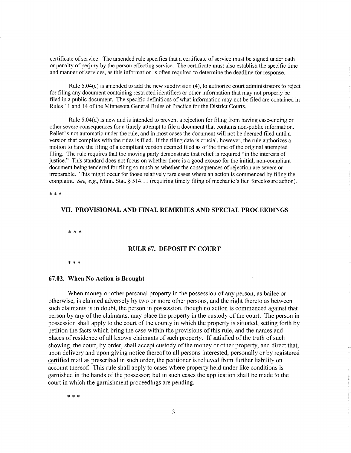certificate of service. The amended rule specifies that a certificate of service must be signed under oath or penalty of perjury by the person effecting service. The certificate must also establish the specific time and manner of services, as this information is often required to determine the deadline for response.

Rule 5.04(c) is amended to add the new subdivision (4), to authorize court administrators to reject for filing any document containing restricted identifiers or other information that may not properly be filed in a public document. The specific definitions of what information may not be filed are contained in Rules 11 and 14 of the Minnesota General Rules of Practice for the District Courts.

Rule 5.04(d) is new and is intended to prevent a rejection for filing from having case-ending or other severe consequences for a timely attempt to file a document that contains non-public information. Relief is not automatic under the rule, and in most cases the document will not be deemed filed until a version that complies with the rules is filed. If the filing date is crucial, however, the rule authorizes a motion to have the filing of a compliant version deemed filed as of the time of the original attempted filing. The rule requires that the moving party demonstrate that relief is required "in the interests of justice." This standard does not focus on whether there is a good excuse for the initial, non-compliant document being tendered for filing so much as whether the consequences of rejection are severe or irreparable. This might occur for those relatively rare cases where an action is commenced by filing the complaint. *See, e.g.,* Minn. Stat. § 514.11 (requiring timely filing of mechanic's lien foreclosure action).

\* \* \*

### **VII. PROVISIONAL AND FINAL REMEDIES AND SPECIAL PROCEEDINGS**

\* \* \*

#### **RULE 67. DEPOSIT IN COURT**

\* \* \*

#### **67.02. When No Action is Brought**

When money or other personal property in the possession of any person, as bailee or otherwise, is claimed adversely by two or more other persons, and the right thereto as between such claimants is in doubt, the person in possession, though no action is commenced against that person by any of the claimants, may place the property in the custody of the court. The person in possession shall apply to the court of the county in which the property is situated, setting forth by petition the facts which bring the case within the provisions of this rule, and the names and places of residence of all known claimants of such property. If satisfied of the truth of such showing, the court, by order, shall accept custody of the money or other property, and direct that, upon delivery and upon giving notice thereof to all persons interested, personally or by-registered certified mail as prescribed in such order, the petitioner is relieved from further liability on account thereof. This rule shall apply to cases where property held under like conditions is garnished in the hands of the possessor; but in such cases the application shall be made to the court in which the garnishment proceedings are pending.

\* \* \*